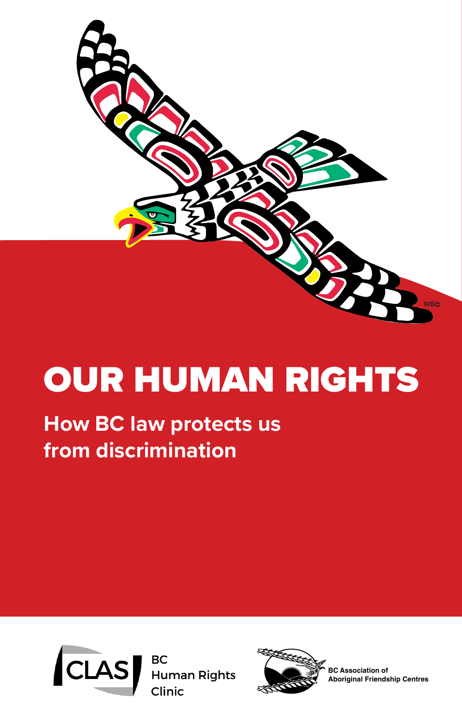

# OUR HUMAN RIGHTS

# **How BC law protects us from discrimination**





**BC Association of Aboriginal Friendship Centres**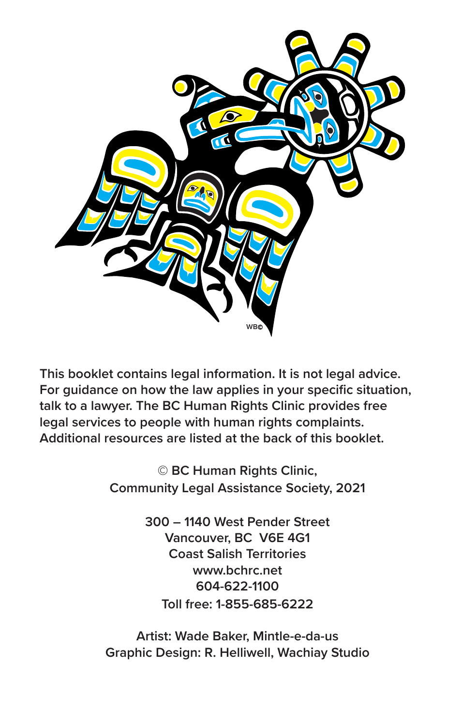

**This booklet contains legal information. It is not legal advice. For guidance on how the law applies in your specific situation, talk to a lawyer. The BC Human Rights Clinic provides free legal services to people with human rights complaints. Additional resources are listed at the back of this booklet.**

> **© BC Human Rights Clinic, Community Legal Assistance Society, 2021**

> > **300 – 1140 West Pender Street Vancouver, BC V6E 4G1 Coast Salish Territories www.bchrc.net 604-622-1100 Toll free: 1-855-685-6222**

**Artist: Wade Baker, Mintle-e-da-us Graphic Design: R. Helliwell, Wachiay Studio**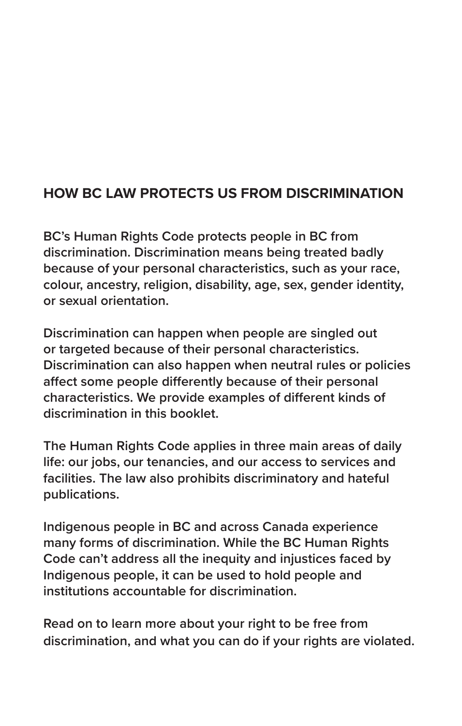#### **HOW BC LAW PROTECTS US FROM DISCRIMINATION**

**BC's Human Rights Code protects people in BC from discrimination. Discrimination means being treated badly because of your personal characteristics, such as your race, colour, ancestry, religion, disability, age, sex, gender identity, or sexual orientation.** 

**Discrimination can happen when people are singled out or targeted because of their personal characteristics. Discrimination can also happen when neutral rules or policies affect some people differently because of their personal characteristics. We provide examples of different kinds of discrimination in this booklet.**

**The Human Rights Code applies in three main areas of daily life: our jobs, our tenancies, and our access to services and facilities. The law also prohibits discriminatory and hateful publications.**

**Indigenous people in BC and across Canada experience many forms of discrimination. While the BC Human Rights Code can't address all the inequity and injustices faced by Indigenous people, it can be used to hold people and institutions accountable for discrimination.** 

**Read on to learn more about your right to be free from discrimination, and what you can do if your rights are violated.**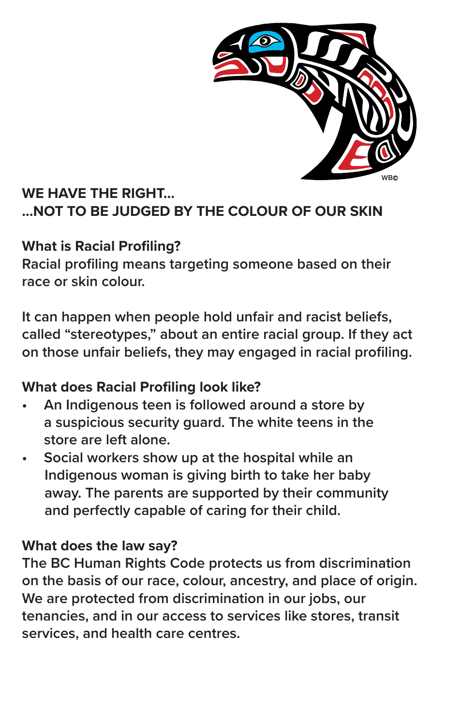

# **WE HAVE THE RIGHT… …NOT TO BE JUDGED BY THE COLOUR OF OUR SKIN**

#### **What is Racial Profiling?**

**Racial profiling means targeting someone based on their race or skin colour.**

**It can happen when people hold unfair and racist beliefs, called "stereotypes," about an entire racial group. If they act on those unfair beliefs, they may engaged in racial profiling.**

#### **What does Racial Profiling look like?**

- **• An Indigenous teen is followed around a store by a suspicious security guard. The white teens in the store are left alone.**
- **• Social workers show up at the hospital while an Indigenous woman is giving birth to take her baby away. The parents are supported by their community and perfectly capable of caring for their child.**

#### **What does the law say?**

**The BC Human Rights Code protects us from discrimination on the basis of our race, colour, ancestry, and place of origin. We are protected from discrimination in our jobs, our tenancies, and in our access to services like stores, transit services, and health care centres.**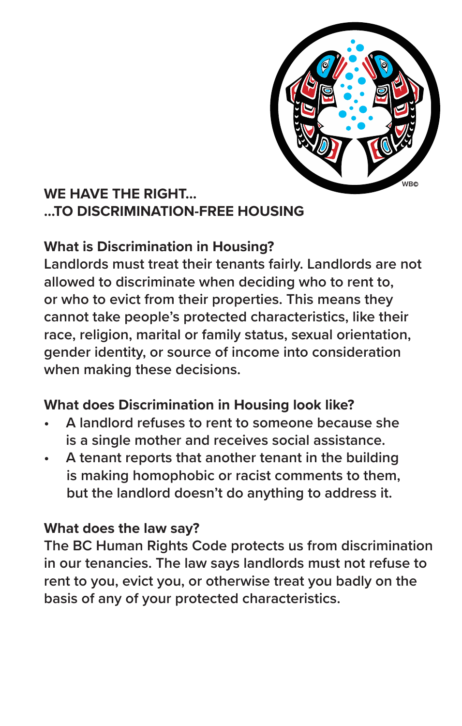

# **WE HAVE THE RIGHT… …TO DISCRIMINATION-FREE HOUSING**

#### **What is Discrimination in Housing?**

**Landlords must treat their tenants fairly. Landlords are not allowed to discriminate when deciding who to rent to, or who to evict from their properties. This means they cannot take people's protected characteristics, like their race, religion, marital or family status, sexual orientation, gender identity, or source of income into consideration when making these decisions.**

#### **What does Discrimination in Housing look like?**

- **• A landlord refuses to rent to someone because she is a single mother and receives social assistance.**
- **• A tenant reports that another tenant in the building is making homophobic or racist comments to them, but the landlord doesn't do anything to address it.**

#### **What does the law say?**

**The BC Human Rights Code protects us from discrimination in our tenancies. The law says landlords must not refuse to rent to you, evict you, or otherwise treat you badly on the basis of any of your protected characteristics.**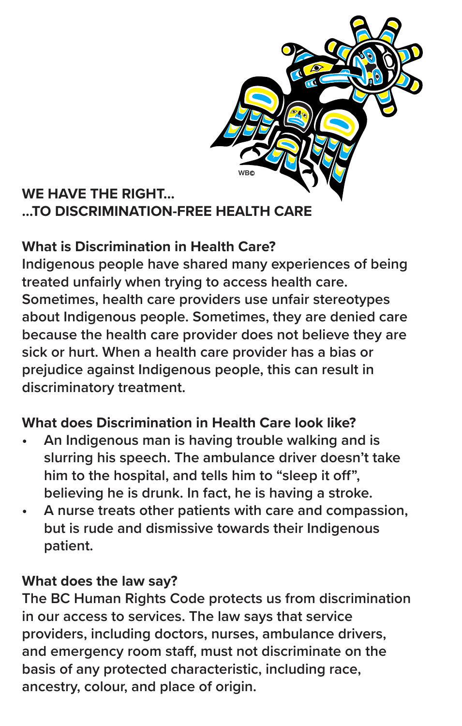

# **WE HAVE THE RIGHT… …TO DISCRIMINATION-FREE HEALTH CARE**

# **What is Discrimination in Health Care?**

**Indigenous people have shared many experiences of being treated unfairly when trying to access health care. Sometimes, health care providers use unfair stereotypes about Indigenous people. Sometimes, they are denied care because the health care provider does not believe they are sick or hurt. When a health care provider has a bias or prejudice against Indigenous people, this can result in discriminatory treatment.**

#### **What does Discrimination in Health Care look like?**

- **• An Indigenous man is having trouble walking and is slurring his speech. The ambulance driver doesn't take him to the hospital, and tells him to "sleep it off", believing he is drunk. In fact, he is having a stroke.**
- **• A nurse treats other patients with care and compassion, but is rude and dismissive towards their Indigenous patient.**

#### **What does the law say?**

**The BC Human Rights Code protects us from discrimination in our access to services. The law says that service providers, including doctors, nurses, ambulance drivers, and emergency room staff, must not discriminate on the basis of any protected characteristic, including race, ancestry, colour, and place of origin.**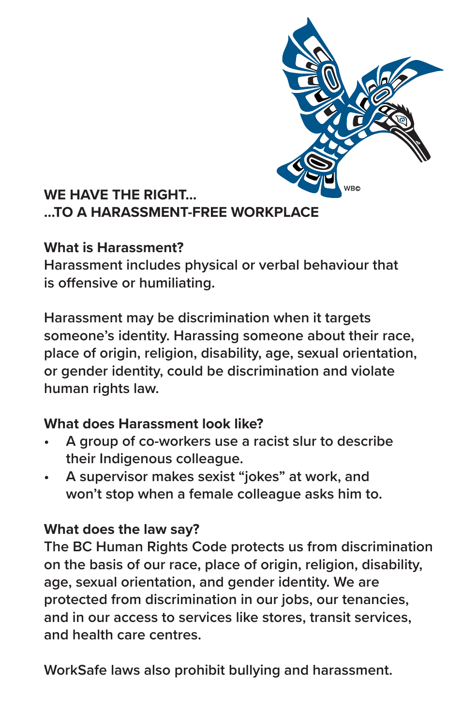

#### **WE HAVE THE RIGHT… …TO A HARASSMENT-FREE WORKPLACE**

#### **What is Harassment?**

**Harassment includes physical or verbal behaviour that is offensive or humiliating.**

**Harassment may be discrimination when it targets someone's identity. Harassing someone about their race, place of origin, religion, disability, age, sexual orientation, or gender identity, could be discrimination and violate human rights law.**

#### **What does Harassment look like?**

- **• A group of co-workers use a racist slur to describe their Indigenous colleague.**
- **• A supervisor makes sexist "jokes" at work, and won't stop when a female colleague asks him to.**

#### **What does the law say?**

**The BC Human Rights Code protects us from discrimination on the basis of our race, place of origin, religion, disability, age, sexual orientation, and gender identity. We are protected from discrimination in our jobs, our tenancies, and in our access to services like stores, transit services, and health care centres.** 

**WorkSafe laws also prohibit bullying and harassment.**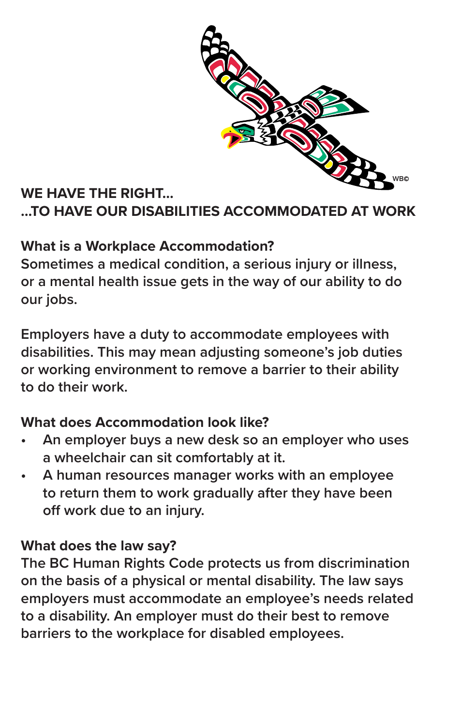

# **WE HAVE THE RIGHT… …TO HAVE OUR DISABILITIES ACCOMMODATED AT WORK**

#### **What is a Workplace Accommodation?**

**Sometimes a medical condition, a serious injury or illness, or a mental health issue gets in the way of our ability to do our jobs.**

**Employers have a duty to accommodate employees with disabilities. This may mean adjusting someone's job duties or working environment to remove a barrier to their ability to do their work.**

#### **What does Accommodation look like?**

- **• An employer buys a new desk so an employer who uses a wheelchair can sit comfortably at it.**
- **• A human resources manager works with an employee to return them to work gradually after they have been off work due to an injury.**

#### **What does the law say?**

**The BC Human Rights Code protects us from discrimination on the basis of a physical or mental disability. The law says employers must accommodate an employee's needs related to a disability. An employer must do their best to remove barriers to the workplace for disabled employees.**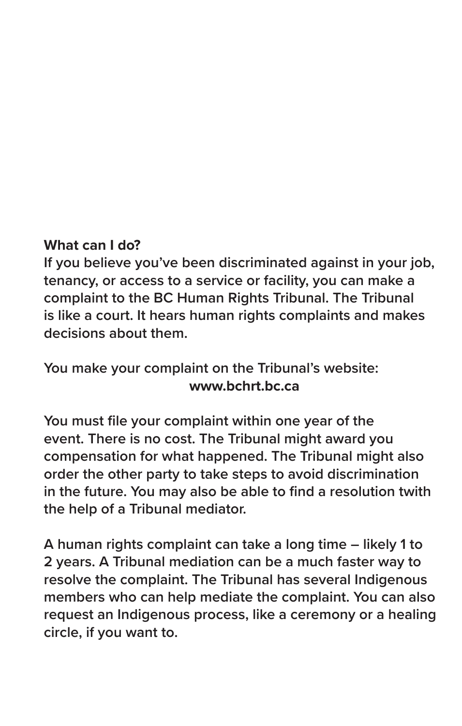#### **What can I do?**

**If you believe you've been discriminated against in your job, tenancy, or access to a service or facility, you can make a complaint to the BC Human Rights Tribunal. The Tribunal is like a court. It hears human rights complaints and makes decisions about them.** 

#### **You make your complaint on the Tribunal's website: www.bchrt.bc.ca**

**You must file your complaint within one year of the event. There is no cost. The Tribunal might award you compensation for what happened. The Tribunal might also order the other party to take steps to avoid discrimination in the future. You may also be able to find a resolution twith the help of a Tribunal mediator.** 

**A human rights complaint can take a long time – likely 1 to 2 years. A Tribunal mediation can be a much faster way to resolve the complaint. The Tribunal has several Indigenous members who can help mediate the complaint. You can also request an Indigenous process, like a ceremony or a healing circle, if you want to.**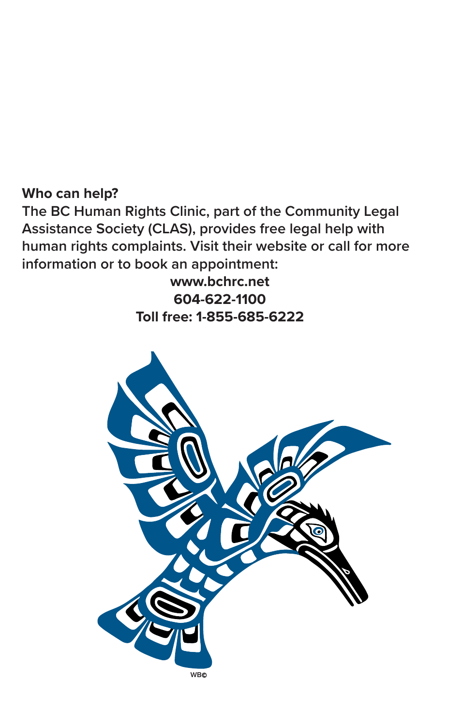#### **Who can help?**

**The BC Human Rights Clinic, part of the Community Legal Assistance Society (CLAS), provides free legal help with human rights complaints. Visit their website or call for more information or to book an appointment:** 

> **www.bchrc.net 604-622-1100 Toll free: 1-855-685-6222**

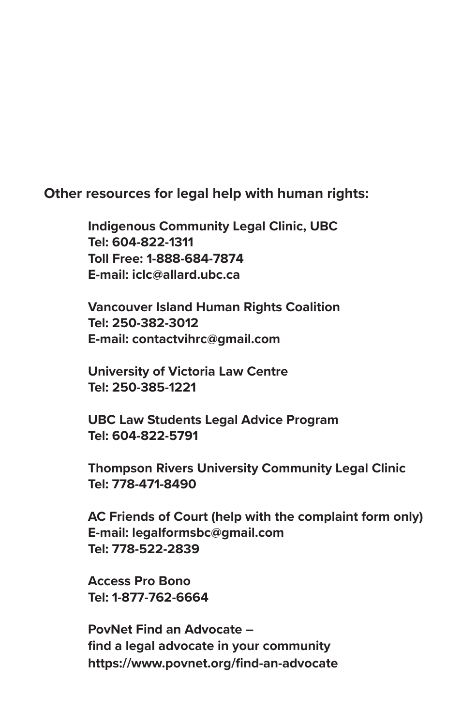**Other resources for legal help with human rights:**

**Indigenous Community Legal Clinic, UBC Tel: 604-822-1311 Toll Free: 1-888-684-7874 E-mail: iclc@allard.ubc.ca** 

**Vancouver Island Human Rights Coalition Tel: 250-382-3012 E-mail: contactvihrc@gmail.com**

**University of Victoria Law Centre Tel: 250-385-1221** 

**UBC Law Students Legal Advice Program Tel: 604-822-5791**

**Thompson Rivers University Community Legal Clinic Tel: 778-471-8490**

**AC Friends of Court (help with the complaint form only) E-mail: legalformsbc@gmail.com Tel: 778-522-2839**

**Access Pro Bono Tel: 1-877-762-6664**

**PovNet Find an Advocate – find a legal advocate in your community https://www.povnet.org/find-an-advocate**